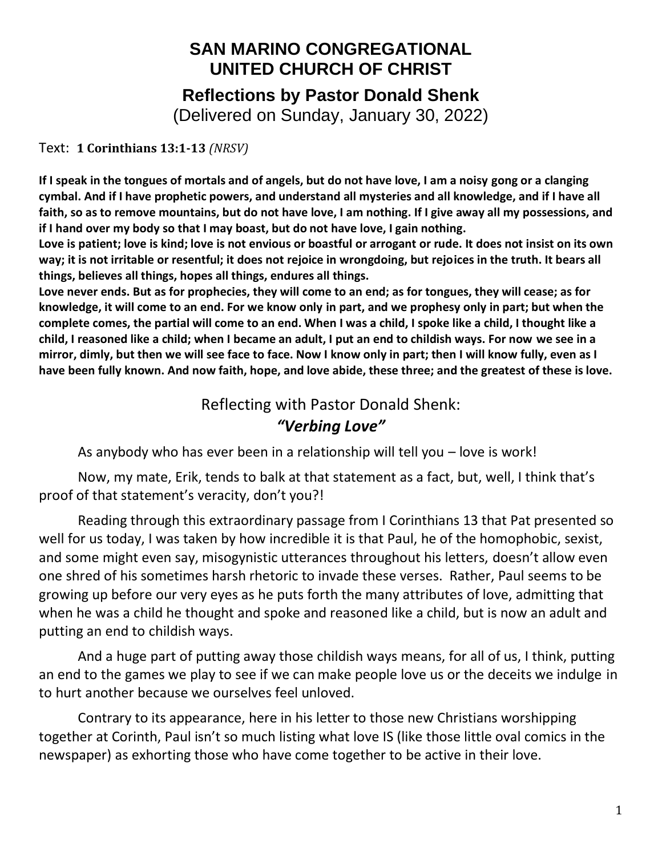## **SAN MARINO CONGREGATIONAL UNITED CHURCH OF CHRIST Reflections by Pastor Donald Shenk**

(Delivered on Sunday, January 30, 2022)

## Text: **1 Corinthians 13:1-13** *(NRSV)*

**If I speak in the tongues of mortals and of angels, but do not have love, I am a noisy gong or a clanging cymbal. And if I have prophetic powers, and understand all mysteries and all knowledge, and if I have all faith, so as to remove mountains, but do not have love, I am nothing. If I give away all my possessions, and if I hand over my body so that I may boast, but do not have love, I gain nothing.**

**Love is patient; love is kind; love is not envious or boastful or arrogant or rude. It does not insist on its own way; it is not irritable or resentful; it does not rejoice in wrongdoing, but rejoices in the truth. It bears all things, believes all things, hopes all things, endures all things.**

**Love never ends. But as for prophecies, they will come to an end; as for tongues, they will cease; as for knowledge, it will come to an end. For we know only in part, and we prophesy only in part; but when the complete comes, the partial will come to an end. When I was a child, I spoke like a child, I thought like a child, I reasoned like a child; when I became an adult, I put an end to childish ways. For now we see in a mirror, dimly, but then we will see face to face. Now I know only in part; then I will know fully, even as I have been fully known. And now faith, hope, and love abide, these three; and the greatest of these is love.**

## Reflecting with Pastor Donald Shenk: *"Verbing Love"*

As anybody who has ever been in a relationship will tell you – love is work!

Now, my mate, Erik, tends to balk at that statement as a fact, but, well, I think that's proof of that statement's veracity, don't you?!

Reading through this extraordinary passage from I Corinthians 13 that Pat presented so well for us today, I was taken by how incredible it is that Paul, he of the homophobic, sexist, and some might even say, misogynistic utterances throughout his letters, doesn't allow even one shred of his sometimes harsh rhetoric to invade these verses. Rather, Paul seems to be growing up before our very eyes as he puts forth the many attributes of love, admitting that when he was a child he thought and spoke and reasoned like a child, but is now an adult and putting an end to childish ways.

And a huge part of putting away those childish ways means, for all of us, I think, putting an end to the games we play to see if we can make people love us or the deceits we indulge in to hurt another because we ourselves feel unloved.

Contrary to its appearance, here in his letter to those new Christians worshipping together at Corinth, Paul isn't so much listing what love IS (like those little oval comics in the newspaper) as exhorting those who have come together to be active in their love.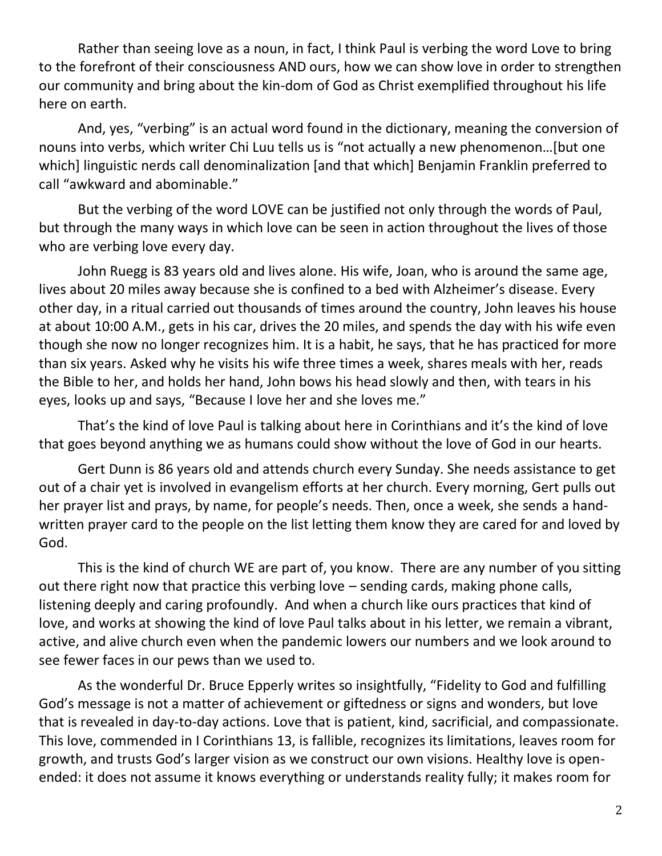Rather than seeing love as a noun, in fact, I think Paul is verbing the word Love to bring to the forefront of their consciousness AND ours, how we can show love in order to strengthen our community and bring about the kin-dom of God as Christ exemplified throughout his life here on earth.

And, yes, "verbing" is an actual word found in the dictionary, meaning the conversion of nouns into verbs, which writer Chi Luu tells us is "not actually a new phenomenon…[but one which] linguistic nerds call denominalization [and that which] Benjamin Franklin preferred to call "awkward and abominable."

But the verbing of the word LOVE can be justified not only through the words of Paul, but through the many ways in which love can be seen in action throughout the lives of those who are verbing love every day.

John Ruegg is 83 years old and lives alone. His wife, Joan, who is around the same age, lives about 20 miles away because she is confined to a bed with Alzheimer's disease. Every other day, in a ritual carried out thousands of times around the country, John leaves his house at about 10:00 A.M., gets in his car, drives the 20 miles, and spends the day with his wife even though she now no longer recognizes him. It is a habit, he says, that he has practiced for more than six years. Asked why he visits his wife three times a week, shares meals with her, reads the Bible to her, and holds her hand, John bows his head slowly and then, with tears in his eyes, looks up and says, "Because I love her and she loves me."

That's the kind of love Paul is talking about here in Corinthians and it's the kind of love that goes beyond anything we as humans could show without the love of God in our hearts.

Gert Dunn is 86 years old and attends church every Sunday. She needs assistance to get out of a chair yet is involved in evangelism efforts at her church. Every morning, Gert pulls out her prayer list and prays, by name, for people's needs. Then, once a week, she sends a handwritten prayer card to the people on the list letting them know they are cared for and loved by God.

This is the kind of church WE are part of, you know. There are any number of you sitting out there right now that practice this verbing love – sending cards, making phone calls, listening deeply and caring profoundly. And when a church like ours practices that kind of love, and works at showing the kind of love Paul talks about in his letter, we remain a vibrant, active, and alive church even when the pandemic lowers our numbers and we look around to see fewer faces in our pews than we used to.

As the wonderful Dr. Bruce Epperly writes so insightfully, "Fidelity to God and fulfilling God's message is not a matter of achievement or giftedness or signs and wonders, but love that is revealed in day-to-day actions. Love that is patient, kind, sacrificial, and compassionate. This love, commended in I Corinthians 13, is fallible, recognizes its limitations, leaves room for growth, and trusts God's larger vision as we construct our own visions. Healthy love is openended: it does not assume it knows everything or understands reality fully; it makes room for